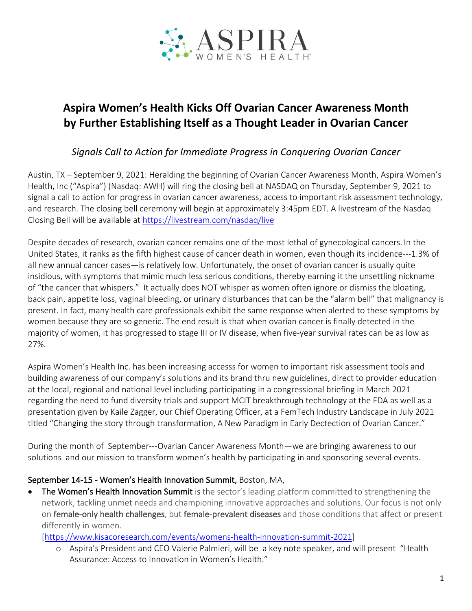

# **Aspira Women's Health Kicks Off Ovarian Cancer Awareness Month by Further Establishing Itself as a Thought Leader in Ovarian Cancer**

## *Signals Call to Action for Immediate Progress in Conquering Ovarian Cancer*

Austin, TX – September 9, 2021: Heralding the beginning of Ovarian Cancer Awareness Month, Aspira Women's Health, Inc ("Aspira") (Nasdaq: AWH) will ring the closing bell at NASDAQ on Thursday, September 9, 2021 to signal a call to action for progress in ovarian cancer awareness, access to important risk assessment technology, and research. The closing bell ceremony will begin at approximately 3:45pm EDT. A livestream of the Nasdaq Closing Bell will be available at https://livestream.com/nasdaq/live

Despite decades of research, ovarian cancer remains one of the most lethal of gynecological cancers. In the United States, it ranks as the fifth highest cause of cancer death in women, even though its incidence---1.3% of all new annual cancer cases—is relatively low. Unfortunately, the onset of ovarian cancer is usually quite insidious, with symptoms that mimic much less serious conditions, thereby earning it the unsettling nickname of "the cancer that whispers." It actually does NOT whisper as women often ignore or dismiss the bloating, back pain, appetite loss, vaginal bleeding, or urinary disturbances that can be the "alarm bell" that malignancy is present. In fact, many health care professionals exhibit the same response when alerted to these symptoms by women because they are so generic. The end result is that when ovarian cancer is finally detected in the majority of women, it has progressed to stage III or IV disease, when five-year survival rates can be as low as 27%.

Aspira Women's Health Inc. has been increasing accesss for women to important risk assessment tools and building awareness of our company's solutions and its brand thru new guidelines, direct to provider education at the local, regional and national level including participating in a congressional briefing in March 2021 regarding the need to fund diversity trials and support MCIT breakthrough technology at the FDA as well as a presentation given by Kaile Zagger, our Chief Operating Officer, at a FemTech Industry Landscape in July 2021 titled "Changing the story through transformation, A New Paradigm in Early Dectection of Ovarian Cancer."

During the month of September---Ovarian Cancer Awareness Month—we are bringing awareness to our solutions and our mission to transform women's health by participating in and sponsoring several events.

### September 14-15 - Women's Health Innovation Summit, Boston, MA,

• The Women's Health Innovation Summit is the sector's leading platform committed to strengthening the network, tackling unmet needs and championing innovative approaches and solutions. Our focus is not only on female-only health challenges, but female-prevalent diseases and those conditions that affect or present differently in women.

[https://www.kisacoresearch.com/events/womens-health-innovation-summit-2021]

o Aspira's President and CEO Valerie Palmieri, will be a key note speaker, and will present "Health Assurance: Access to Innovation in Women's Health."